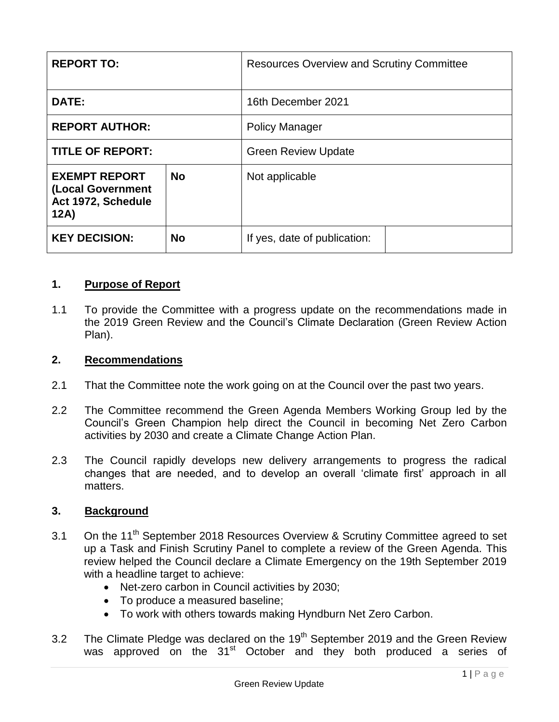| <b>REPORT TO:</b>                                                       |           | <b>Resources Overview and Scrutiny Committee</b> |  |
|-------------------------------------------------------------------------|-----------|--------------------------------------------------|--|
| DATE:                                                                   |           | 16th December 2021                               |  |
| <b>REPORT AUTHOR:</b>                                                   |           | <b>Policy Manager</b>                            |  |
| <b>TITLE OF REPORT:</b>                                                 |           | <b>Green Review Update</b>                       |  |
| <b>EXEMPT REPORT</b><br>(Local Government<br>Act 1972, Schedule<br>12A) | <b>No</b> | Not applicable                                   |  |
| <b>KEY DECISION:</b>                                                    | <b>No</b> | If yes, date of publication:                     |  |

#### **1. Purpose of Report**

1.1 To provide the Committee with a progress update on the recommendations made in the 2019 Green Review and the Council's Climate Declaration (Green Review Action Plan).

#### **2. Recommendations**

- 2.1 That the Committee note the work going on at the Council over the past two years.
- 2.2 The Committee recommend the Green Agenda Members Working Group led by the Council's Green Champion help direct the Council in becoming Net Zero Carbon activities by 2030 and create a Climate Change Action Plan.
- 2.3 The Council rapidly develops new delivery arrangements to progress the radical changes that are needed, and to develop an overall 'climate first' approach in all matters.

#### **3. Background**

- 3.1 On the 11<sup>th</sup> September 2018 Resources Overview & Scrutiny Committee agreed to set up a Task and Finish Scrutiny Panel to complete a review of the Green Agenda. This review helped the Council declare a Climate Emergency on the 19th September 2019 with a headline target to achieve:
	- Net-zero carbon in Council activities by 2030;
	- To produce a measured baseline;
	- To work with others towards making Hyndburn Net Zero Carbon.
- 3.2 The Climate Pledge was declared on the  $19<sup>th</sup>$  September 2019 and the Green Review was approved on the 31<sup>st</sup> October and they both produced a series of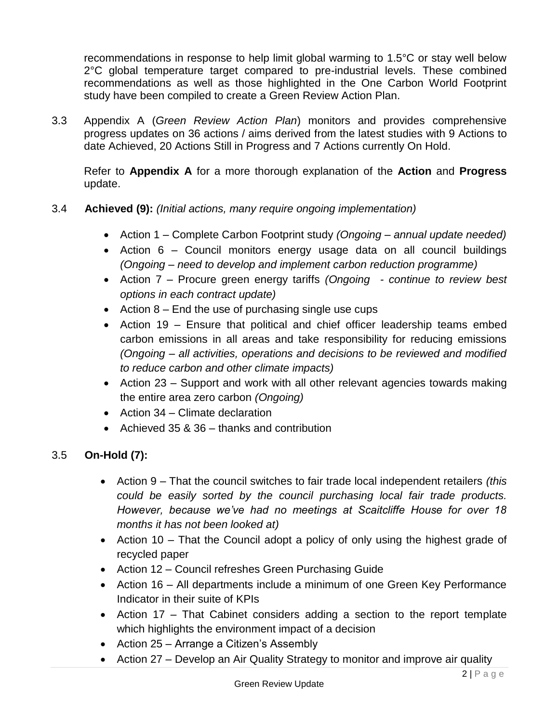recommendations in response to help limit global warming to 1.5°C or stay well below 2°C global temperature target compared to pre-industrial levels. These combined recommendations as well as those highlighted in the One Carbon World Footprint study have been compiled to create a Green Review Action Plan.

3.3 Appendix A (*Green Review Action Plan*) monitors and provides comprehensive progress updates on 36 actions / aims derived from the latest studies with 9 Actions to date Achieved, 20 Actions Still in Progress and 7 Actions currently On Hold.

Refer to **Appendix A** for a more thorough explanation of the **Action** and **Progress** update.

- 3.4 **Achieved (9):** *(Initial actions, many require ongoing implementation)*
	- Action 1 Complete Carbon Footprint study *(Ongoing – annual update needed)*
	- Action 6 Council monitors energy usage data on all council buildings *(Ongoing – need to develop and implement carbon reduction programme)*
	- Action 7 Procure green energy tariffs *(Ongoing - continue to review best options in each contract update)*
	- Action  $8$  End the use of purchasing single use cups
	- Action 19 Ensure that political and chief officer leadership teams embed carbon emissions in all areas and take responsibility for reducing emissions *(Ongoing – all activities, operations and decisions to be reviewed and modified to reduce carbon and other climate impacts)*
	- Action 23 Support and work with all other relevant agencies towards making the entire area zero carbon *(Ongoing)*
	- Action 34 Climate declaration
	- Achieved 35 & 36 thanks and contribution

# 3.5 **On-Hold (7):**

- Action 9 That the council switches to fair trade local independent retailers *(this could be easily sorted by the council purchasing local fair trade products. However, because we've had no meetings at Scaitcliffe House for over 18 months it has not been looked at)*
- Action 10 That the Council adopt a policy of only using the highest grade of recycled paper
- Action 12 Council refreshes Green Purchasing Guide
- Action 16 All departments include a minimum of one Green Key Performance Indicator in their suite of KPIs
- Action 17 That Cabinet considers adding a section to the report template which highlights the environment impact of a decision
- Action 25 Arrange a Citizen's Assembly
- Action 27 Develop an Air Quality Strategy to monitor and improve air quality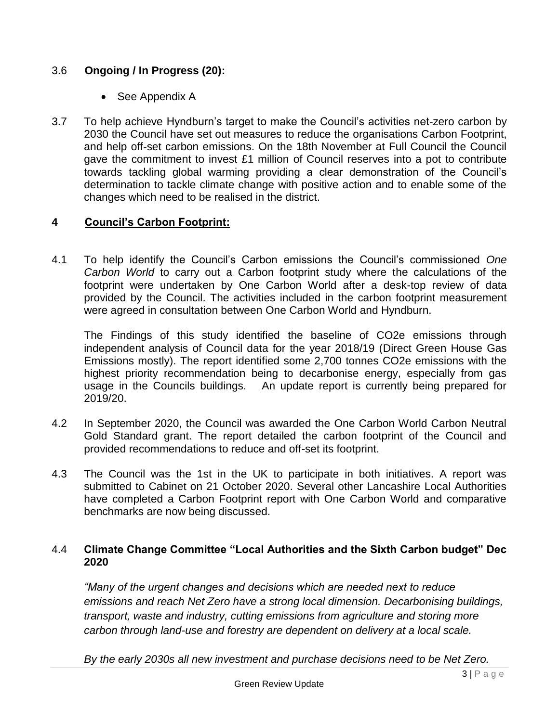# 3.6 **Ongoing / In Progress (20):**

- See Appendix A
- 3.7 To help achieve Hyndburn's target to make the Council's activities net-zero carbon by 2030 the Council have set out measures to reduce the organisations Carbon Footprint, and help off-set carbon emissions. On the 18th November at Full Council the Council gave the commitment to invest £1 million of Council reserves into a pot to contribute towards tackling global warming providing a clear demonstration of the Council's determination to tackle climate change with positive action and to enable some of the changes which need to be realised in the district.

## **4 Council's Carbon Footprint:**

4.1 To help identify the Council's Carbon emissions the Council's commissioned *One Carbon World* to carry out a Carbon footprint study where the calculations of the footprint were undertaken by One Carbon World after a desk-top review of data provided by the Council. The activities included in the carbon footprint measurement were agreed in consultation between One Carbon World and Hyndburn.

The Findings of this study identified the baseline of CO2e emissions through independent analysis of Council data for the year 2018/19 (Direct Green House Gas Emissions mostly). The report identified some 2,700 tonnes CO2e emissions with the highest priority recommendation being to decarbonise energy, especially from gas usage in the Councils buildings. An update report is currently being prepared for 2019/20.

- 4.2 In September 2020, the Council was awarded the One Carbon World Carbon Neutral Gold Standard grant. The report detailed the carbon footprint of the Council and provided recommendations to reduce and off-set its footprint.
- 4.3 The Council was the 1st in the UK to participate in both initiatives. A report was submitted to Cabinet on 21 October 2020. Several other Lancashire Local Authorities have completed a Carbon Footprint report with One Carbon World and comparative benchmarks are now being discussed.

## 4.4 **Climate Change Committee "Local Authorities and the Sixth Carbon budget" Dec 2020**

*"Many of the urgent changes and decisions which are needed next to reduce emissions and reach Net Zero have a strong local dimension. Decarbonising buildings, transport, waste and industry, cutting emissions from agriculture and storing more carbon through land-use and forestry are dependent on delivery at a local scale.*

*By the early 2030s all new investment and purchase decisions need to be Net Zero.*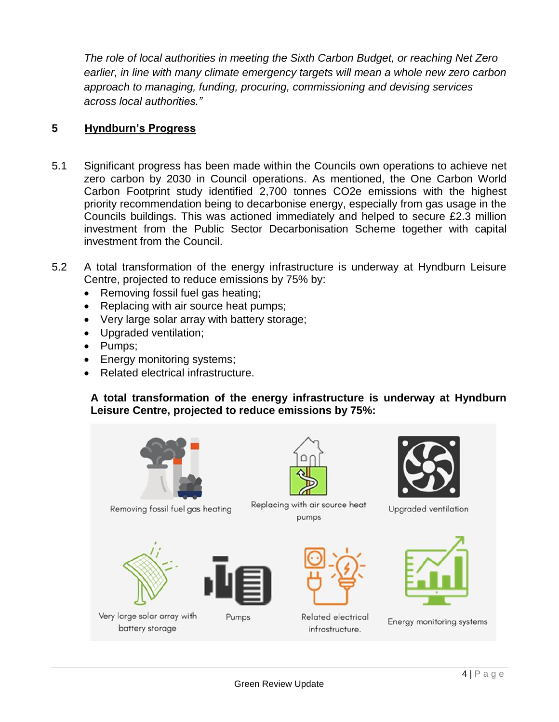*The role of local authorities in meeting the Sixth Carbon Budget, or reaching Net Zero earlier, in line with many climate emergency targets will mean a whole new zero carbon approach to managing, funding, procuring, commissioning and devising services across local authorities."*

## **5 Hyndburn's Progress**

- 5.1 Significant progress has been made within the Councils own operations to achieve net zero carbon by 2030 in Council operations. As mentioned, the One Carbon World Carbon Footprint study identified 2,700 tonnes CO2e emissions with the highest priority recommendation being to decarbonise energy, especially from gas usage in the Councils buildings. This was actioned immediately and helped to secure £2.3 million investment from the Public Sector Decarbonisation Scheme together with capital investment from the Council.
- 5.2 A total transformation of the energy infrastructure is underway at Hyndburn Leisure Centre, projected to reduce emissions by 75% by:
	- Removing fossil fuel gas heating;
	- Replacing with air source heat pumps;
	- Very large solar array with battery storage;
	- Upgraded ventilation;
	- Pumps;
	- Energy monitoring systems;
	- Related electrical infrastructure.

#### **A total transformation of the energy infrastructure is underway at Hyndburn Leisure Centre, projected to reduce emissions by 75%:**

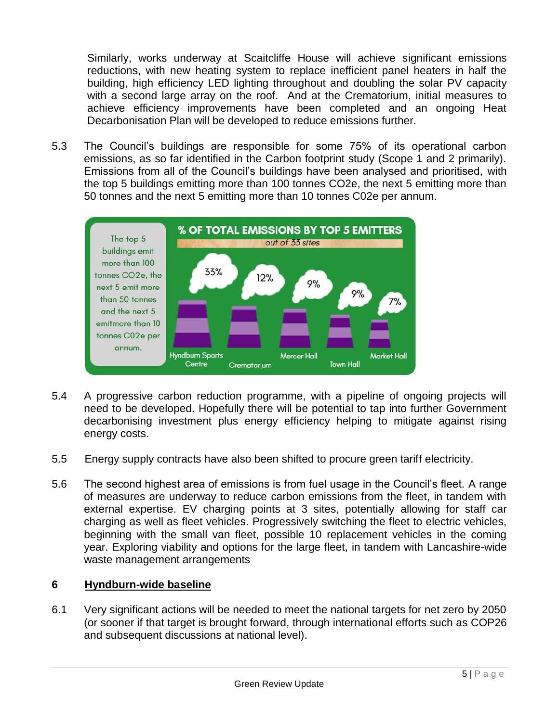Similarly, works underway at Scaitcliffe House will achieve significant emissions reductions, with new heating system to replace inefficient panel heaters in half the building, high efficiency LED lighting throughout and doubling the solar PV capacity with a second large array on the roof. And at the Crematorium, initial measures to achieve efficiency improvements have been completed and an ongoing Heat Decarbonisation Plan will be developed to reduce emissions further.

5.3 The Council's buildings are responsible for some 75% of its operational carbon emissions, as so far identified in the Carbon footprint study (Scope 1 and 2 primarily). Emissions from all of the Council's buildings have been analysed and prioritised, with the top 5 buildings emitting more than 100 tonnes CO2e, the next 5 emitting more than 50 tonnes and the next 5 emitting more than 10 tonnes C02e per annum.



- 5.4 A progressive carbon reduction programme, with a pipeline of ongoing projects will need to be developed. Hopefully there will be potential to tap into further Government decarbonising investment plus energy efficiency helping to mitigate against rising energy costs.
- 5.5 Energy supply contracts have also been shifted to procure green tariff electricity.
- 5.6 The second highest area of emissions is from fuel usage in the Council's fleet. A range of measures are underway to reduce carbon emissions from the fleet, in tandem with external expertise. EV charging points at 3 sites, potentially allowing for staff car charging as well as fleet vehicles. Progressively switching the fleet to electric vehicles, beginning with the small van fleet, possible 10 replacement vehicles in the coming year. Exploring viability and options for the large fleet, in tandem with Lancashire-wide waste management arrangements

## **6 Hyndburn-wide baseline**

6.1 Very significant actions will be needed to meet the national targets for net zero by 2050 (or sooner if that target is brought forward, through international efforts such as COP26 and subsequent discussions at national level).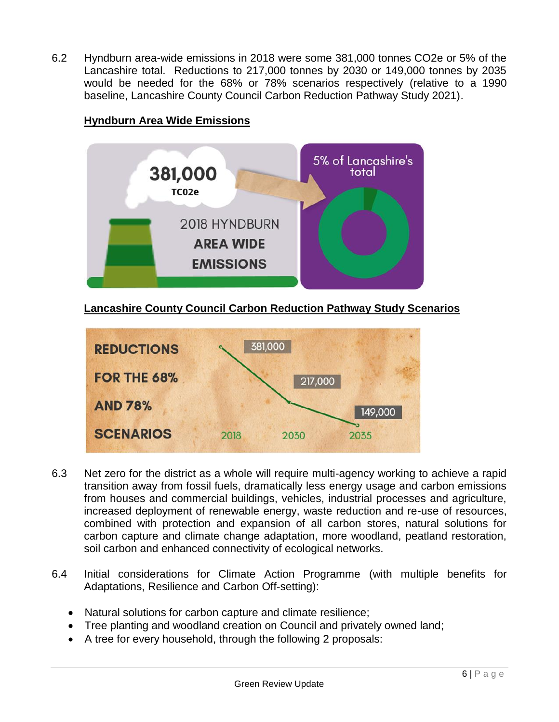6.2 Hyndburn area-wide emissions in 2018 were some 381,000 tonnes CO2e or 5% of the Lancashire total. Reductions to 217,000 tonnes by 2030 or 149,000 tonnes by 2035 would be needed for the 68% or 78% scenarios respectively (relative to a 1990 baseline, Lancashire County Council Carbon Reduction Pathway Study 2021).

# **Hyndburn Area Wide Emissions**



# **Lancashire County Council Carbon Reduction Pathway Study Scenarios**



- 6.3 Net zero for the district as a whole will require multi-agency working to achieve a rapid transition away from fossil fuels, dramatically less energy usage and carbon emissions from houses and commercial buildings, vehicles, industrial processes and agriculture, increased deployment of renewable energy, waste reduction and re-use of resources, combined with protection and expansion of all carbon stores, natural solutions for carbon capture and climate change adaptation, more woodland, peatland restoration, soil carbon and enhanced connectivity of ecological networks.
- 6.4 Initial considerations for Climate Action Programme (with multiple benefits for Adaptations, Resilience and Carbon Off-setting):
	- Natural solutions for carbon capture and climate resilience;
	- Tree planting and woodland creation on Council and privately owned land;
	- A tree for every household, through the following 2 proposals: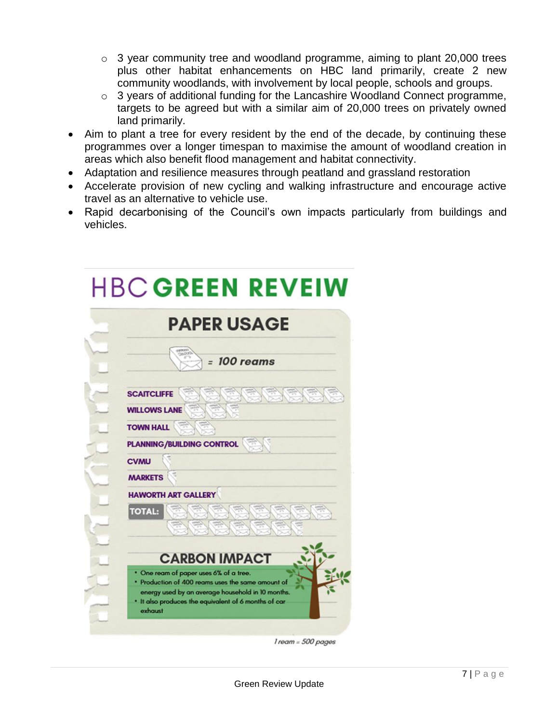- o 3 year community tree and woodland programme, aiming to plant 20,000 trees plus other habitat enhancements on HBC land primarily, create 2 new community woodlands, with involvement by local people, schools and groups.
- o 3 years of additional funding for the Lancashire Woodland Connect programme, targets to be agreed but with a similar aim of 20,000 trees on privately owned land primarily.
- Aim to plant a tree for every resident by the end of the decade, by continuing these programmes over a longer timespan to maximise the amount of woodland creation in areas which also benefit flood management and habitat connectivity.
- Adaptation and resilience measures through peatland and grassland restoration
- Accelerate provision of new cycling and walking infrastructure and encourage active travel as an alternative to vehicle use.
- Rapid decarbonising of the Council's own impacts particularly from buildings and vehicles.

| <b>PAPER USAGE</b>                                                                                                   |
|----------------------------------------------------------------------------------------------------------------------|
| $= 100$ reams                                                                                                        |
|                                                                                                                      |
| <b>SCAITCLIFFE</b><br><b>BAS</b>                                                                                     |
| <b>WILLOWS LANE</b>                                                                                                  |
| <b>TOWN HALL</b>                                                                                                     |
| <b>PLANNING/BUILDING CONTROL</b>                                                                                     |
| <b>CVMU</b>                                                                                                          |
| <b>MARKETS</b>                                                                                                       |
| <b>HAWORTH ART GALLERY</b>                                                                                           |
| <b>TOTAL:</b>                                                                                                        |
|                                                                                                                      |
|                                                                                                                      |
| <b>CARBON IMPACT</b>                                                                                                 |
| . One ream of paper uses 6% of a tree.<br>. Production of 400 reams uses the same amount of                          |
| energy used by an average household in 10 months.<br>. It also produces the equivalent of 6 months of car<br>exhaust |

 $\overline{\phantom{a}}$ 

1 ream = 500 pages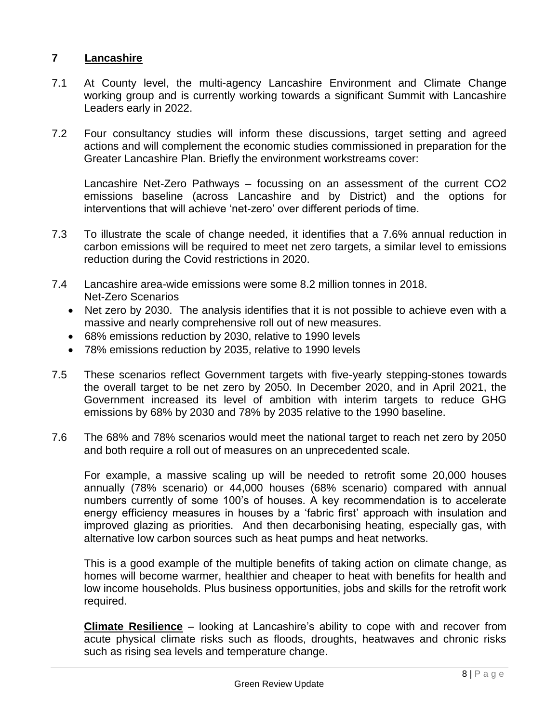#### **7 Lancashire**

- 7.1 At County level, the multi-agency Lancashire Environment and Climate Change working group and is currently working towards a significant Summit with Lancashire Leaders early in 2022.
- 7.2 Four consultancy studies will inform these discussions, target setting and agreed actions and will complement the economic studies commissioned in preparation for the Greater Lancashire Plan. Briefly the environment workstreams cover:

Lancashire Net-Zero Pathways – focussing on an assessment of the current CO2 emissions baseline (across Lancashire and by District) and the options for interventions that will achieve 'net-zero' over different periods of time.

- 7.3 To illustrate the scale of change needed, it identifies that a 7.6% annual reduction in carbon emissions will be required to meet net zero targets, a similar level to emissions reduction during the Covid restrictions in 2020.
- 7.4 Lancashire area-wide emissions were some 8.2 million tonnes in 2018. Net-Zero Scenarios
	- Net zero by 2030. The analysis identifies that it is not possible to achieve even with a massive and nearly comprehensive roll out of new measures.
	- 68% emissions reduction by 2030, relative to 1990 levels
	- 78% emissions reduction by 2035, relative to 1990 levels
- 7.5 These scenarios reflect Government targets with five-yearly stepping-stones towards the overall target to be net zero by 2050. In December 2020, and in April 2021, the Government increased its level of ambition with interim targets to reduce GHG emissions by 68% by 2030 and 78% by 2035 relative to the 1990 baseline.
- 7.6 The 68% and 78% scenarios would meet the national target to reach net zero by 2050 and both require a roll out of measures on an unprecedented scale.

For example, a massive scaling up will be needed to retrofit some 20,000 houses annually (78% scenario) or 44,000 houses (68% scenario) compared with annual numbers currently of some 100's of houses. A key recommendation is to accelerate energy efficiency measures in houses by a 'fabric first' approach with insulation and improved glazing as priorities. And then decarbonising heating, especially gas, with alternative low carbon sources such as heat pumps and heat networks.

This is a good example of the multiple benefits of taking action on climate change, as homes will become warmer, healthier and cheaper to heat with benefits for health and low income households. Plus business opportunities, jobs and skills for the retrofit work required.

**Climate Resilience** – looking at Lancashire's ability to cope with and recover from acute physical climate risks such as floods, droughts, heatwaves and chronic risks such as rising sea levels and temperature change.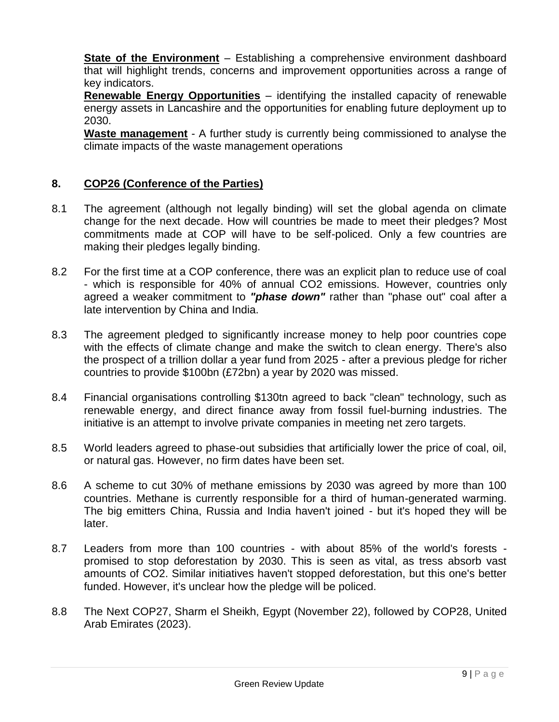**State of the Environment** – Establishing a comprehensive environment dashboard that will highlight trends, concerns and improvement opportunities across a range of key indicators.

**Renewable Energy Opportunities** – identifying the installed capacity of renewable energy assets in Lancashire and the opportunities for enabling future deployment up to 2030.

**Waste management** - A further study is currently being commissioned to analyse the climate impacts of the waste management operations

# **8. COP26 (Conference of the Parties)**

- 8.1 The agreement (although not legally binding) will set the global agenda on climate change for the next decade. How will countries be made to meet their pledges? Most commitments made at COP will have to be self-policed. Only a few countries are making their pledges legally binding.
- 8.2 For the first time at a COP conference, there was an explicit plan to reduce use of coal - which is responsible for 40% of annual CO2 emissions. However, countries only agreed a weaker commitment to *"phase down"* rather than "phase out" coal after a late intervention by China and India.
- 8.3 The agreement pledged to significantly increase money to help poor countries cope with the effects of climate change and make the switch to clean energy. There's also the prospect of a trillion dollar a year fund from 2025 - after a previous pledge for richer countries to provide \$100bn (£72bn) a year by 2020 was missed.
- 8.4 Financial organisations controlling \$130tn agreed to back "clean" technology, such as renewable energy, and direct finance away from fossil fuel-burning industries. The initiative is an attempt to involve private companies in meeting net zero targets.
- 8.5 World leaders agreed to phase-out subsidies that artificially lower the price of coal, oil, or natural gas. However, no firm dates have been set.
- 8.6 A scheme to cut 30% of methane emissions by 2030 was agreed by more than 100 countries. Methane is currently responsible for a third of human-generated warming. The big emitters China, Russia and India haven't joined - but it's hoped they will be later.
- 8.7 Leaders from more than 100 countries with about 85% of the world's forests promised to stop deforestation by 2030. This is seen as vital, as tress absorb vast amounts of CO2. Similar initiatives haven't stopped deforestation, but this one's better funded. However, it's unclear how the pledge will be policed.
- 8.8 The Next COP27, Sharm el Sheikh, Egypt (November 22), followed by COP28, United Arab Emirates (2023).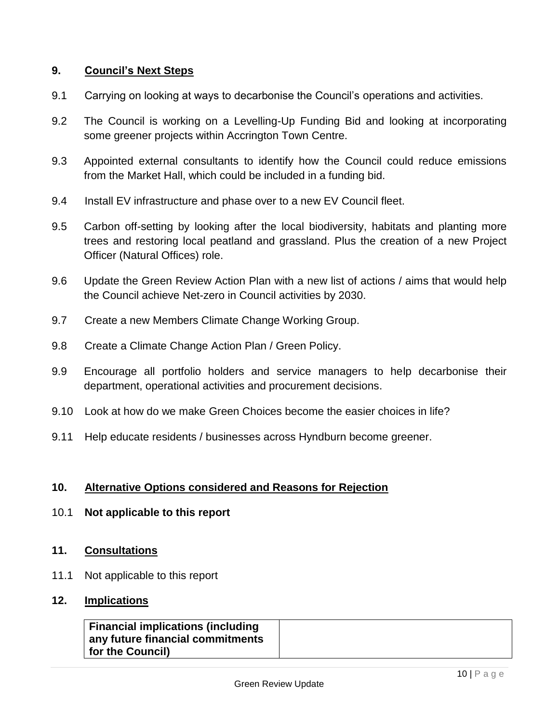#### **9. Council's Next Steps**

- 9.1 Carrying on looking at ways to decarbonise the Council's operations and activities.
- 9.2 The Council is working on a Levelling-Up Funding Bid and looking at incorporating some greener projects within Accrington Town Centre.
- 9.3 Appointed external consultants to identify how the Council could reduce emissions from the Market Hall, which could be included in a funding bid.
- 9.4 Install EV infrastructure and phase over to a new EV Council fleet.
- 9.5 Carbon off-setting by looking after the local biodiversity, habitats and planting more trees and restoring local peatland and grassland. Plus the creation of a new Project Officer (Natural Offices) role.
- 9.6 Update the Green Review Action Plan with a new list of actions / aims that would help the Council achieve Net-zero in Council activities by 2030.
- 9.7 Create a new Members Climate Change Working Group.
- 9.8 Create a Climate Change Action Plan / Green Policy.
- 9.9 Encourage all portfolio holders and service managers to help decarbonise their department, operational activities and procurement decisions.
- 9.10 Look at how do we make Green Choices become the easier choices in life?
- 9.11 Help educate residents / businesses across Hyndburn become greener.

#### **10. Alternative Options considered and Reasons for Rejection**

- 10.1 **Not applicable to this report**
- **11. Consultations**
- 11.1 Not applicable to this report
- **12. Implications**

| <b>Financial implications (including</b> |  |
|------------------------------------------|--|
| any future financial commitments         |  |
| <b>for the Council)</b>                  |  |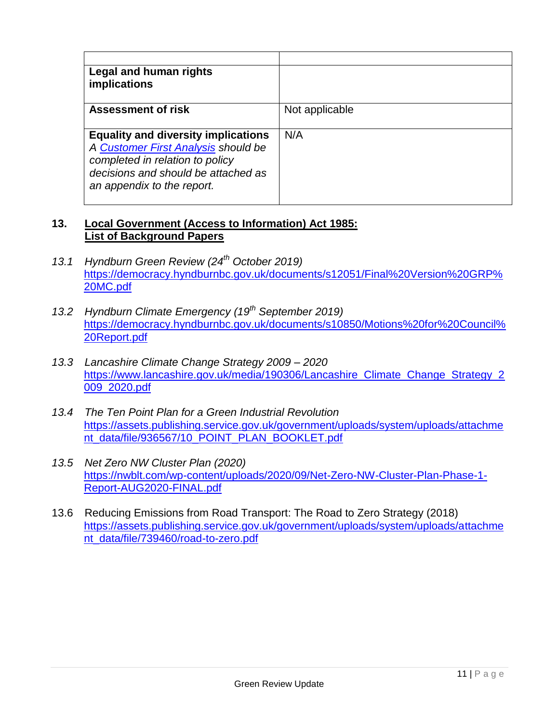| Legal and human rights<br>implications                                                                                                                                                    |                |
|-------------------------------------------------------------------------------------------------------------------------------------------------------------------------------------------|----------------|
| <b>Assessment of risk</b>                                                                                                                                                                 | Not applicable |
| <b>Equality and diversity implications</b><br>A Customer First Analysis should be<br>completed in relation to policy<br>decisions and should be attached as<br>an appendix to the report. | N/A            |

#### **13. Local Government (Access to Information) Act 1985: List of Background Papers**

- *13.1 Hyndburn Green Review (24th October 2019)* [https://democracy.hyndburnbc.gov.uk/documents/s12051/Final%20Version%20GRP%](https://democracy.hyndburnbc.gov.uk/documents/s12051/Final%20Version%20GRP%20MC.pdf) [20MC.pdf](https://democracy.hyndburnbc.gov.uk/documents/s12051/Final%20Version%20GRP%20MC.pdf)
- *13.2 Hyndburn Climate Emergency (19th September 2019)* [https://democracy.hyndburnbc.gov.uk/documents/s10850/Motions%20for%20Council%](https://democracy.hyndburnbc.gov.uk/documents/s10850/Motions%20for%20Council%20Report.pdf) [20Report.pdf](https://democracy.hyndburnbc.gov.uk/documents/s10850/Motions%20for%20Council%20Report.pdf)
- *13.3 Lancashire Climate Change Strategy 2009 – 2020* [https://www.lancashire.gov.uk/media/190306/Lancashire\\_Climate\\_Change\\_Strategy\\_2](https://www.lancashire.gov.uk/media/190306/Lancashire_Climate_Change_Strategy_2009_2020.pdf) [009\\_2020.pdf](https://www.lancashire.gov.uk/media/190306/Lancashire_Climate_Change_Strategy_2009_2020.pdf)
- *13.4 The Ten Point Plan for a Green Industrial Revolution* [https://assets.publishing.service.gov.uk/government/uploads/system/uploads/attachme](https://assets.publishing.service.gov.uk/government/uploads/system/uploads/attachment_data/file/936567/10_POINT_PLAN_BOOKLET.pdf) [nt\\_data/file/936567/10\\_POINT\\_PLAN\\_BOOKLET.pdf](https://assets.publishing.service.gov.uk/government/uploads/system/uploads/attachment_data/file/936567/10_POINT_PLAN_BOOKLET.pdf)
- *13.5 Net Zero NW Cluster Plan (2020)* [https://nwblt.com/wp-content/uploads/2020/09/Net-Zero-NW-Cluster-Plan-Phase-1-](https://nwblt.com/wp-content/uploads/2020/09/Net-Zero-NW-Cluster-Plan-Phase-1-Report-AUG2020-FINAL.pdf) [Report-AUG2020-FINAL.pdf](https://nwblt.com/wp-content/uploads/2020/09/Net-Zero-NW-Cluster-Plan-Phase-1-Report-AUG2020-FINAL.pdf)
- 13.6 Reducing Emissions from Road Transport: The Road to Zero Strategy (2018) [https://assets.publishing.service.gov.uk/government/uploads/system/uploads/attachme](https://assets.publishing.service.gov.uk/government/uploads/system/uploads/attachment_data/file/739460/road-to-zero.pdf) [nt\\_data/file/739460/road-to-zero.pdf](https://assets.publishing.service.gov.uk/government/uploads/system/uploads/attachment_data/file/739460/road-to-zero.pdf)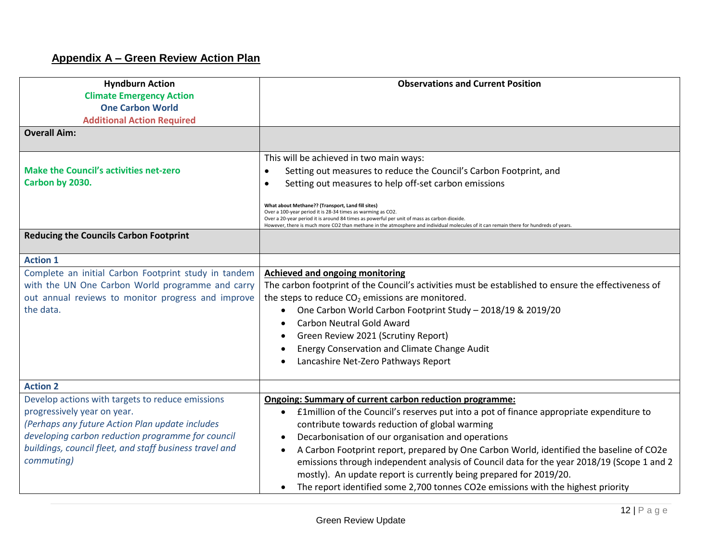# **Appendix A – Green Review Action Plan**

| <b>Hyndburn Action</b>                                  | <b>Observations and Current Position</b>                                                                                                                   |
|---------------------------------------------------------|------------------------------------------------------------------------------------------------------------------------------------------------------------|
| <b>Climate Emergency Action</b>                         |                                                                                                                                                            |
| <b>One Carbon World</b>                                 |                                                                                                                                                            |
| <b>Additional Action Required</b>                       |                                                                                                                                                            |
| <b>Overall Aim:</b>                                     |                                                                                                                                                            |
|                                                         | This will be achieved in two main ways:                                                                                                                    |
| <b>Make the Council's activities net-zero</b>           | Setting out measures to reduce the Council's Carbon Footprint, and<br>$\bullet$                                                                            |
| Carbon by 2030.                                         | Setting out measures to help off-set carbon emissions<br>$\bullet$                                                                                         |
|                                                         |                                                                                                                                                            |
|                                                         | What about Methane?? (Transport, Land fill sites)                                                                                                          |
|                                                         | Over a 100-year period it is 28-34 times as warming as CO2.<br>Over a 20-year period it is around 84 times as powerful per unit of mass as carbon dioxide. |
| <b>Reducing the Councils Carbon Footprint</b>           | However, there is much more CO2 than methane in the atmosphere and individual molecules of it can remain there for hundreds of years.                      |
|                                                         |                                                                                                                                                            |
| <b>Action 1</b>                                         |                                                                                                                                                            |
| Complete an initial Carbon Footprint study in tandem    | <b>Achieved and ongoing monitoring</b>                                                                                                                     |
| with the UN One Carbon World programme and carry        | The carbon footprint of the Council's activities must be established to ensure the effectiveness of                                                        |
| out annual reviews to monitor progress and improve      | the steps to reduce $CO2$ emissions are monitored.                                                                                                         |
| the data.                                               | One Carbon World Carbon Footprint Study - 2018/19 & 2019/20                                                                                                |
|                                                         | <b>Carbon Neutral Gold Award</b>                                                                                                                           |
|                                                         | Green Review 2021 (Scrutiny Report)                                                                                                                        |
|                                                         | Energy Conservation and Climate Change Audit                                                                                                               |
|                                                         | Lancashire Net-Zero Pathways Report                                                                                                                        |
|                                                         |                                                                                                                                                            |
| <b>Action 2</b>                                         |                                                                                                                                                            |
| Develop actions with targets to reduce emissions        | <b>Ongoing: Summary of current carbon reduction programme:</b>                                                                                             |
| progressively year on year.                             | E1 million of the Council's reserves put into a pot of finance appropriate expenditure to<br>$\bullet$                                                     |
| (Perhaps any future Action Plan update includes         | contribute towards reduction of global warming                                                                                                             |
| developing carbon reduction programme for council       | Decarbonisation of our organisation and operations                                                                                                         |
| buildings, council fleet, and staff business travel and | A Carbon Footprint report, prepared by One Carbon World, identified the baseline of CO2e                                                                   |
| commuting)                                              | emissions through independent analysis of Council data for the year 2018/19 (Scope 1 and 2                                                                 |
|                                                         | mostly). An update report is currently being prepared for 2019/20.                                                                                         |
|                                                         | The report identified some 2,700 tonnes CO2e emissions with the highest priority                                                                           |
|                                                         |                                                                                                                                                            |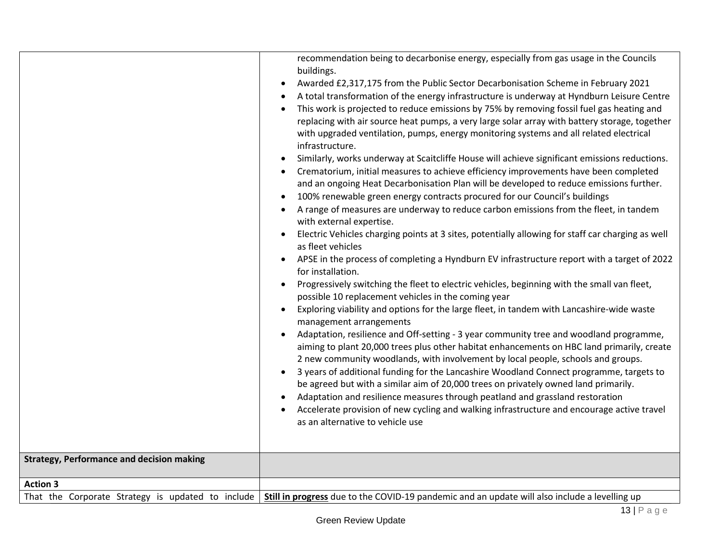| <b>Strategy, Performance and decision making</b>  | recommendation being to decarbonise energy, especially from gas usage in the Councils<br>buildings.<br>Awarded £2,317,175 from the Public Sector Decarbonisation Scheme in February 2021<br>$\bullet$<br>A total transformation of the energy infrastructure is underway at Hyndburn Leisure Centre<br>This work is projected to reduce emissions by 75% by removing fossil fuel gas heating and<br>replacing with air source heat pumps, a very large solar array with battery storage, together<br>with upgraded ventilation, pumps, energy monitoring systems and all related electrical<br>infrastructure.<br>Similarly, works underway at Scaitcliffe House will achieve significant emissions reductions.<br>Crematorium, initial measures to achieve efficiency improvements have been completed<br>and an ongoing Heat Decarbonisation Plan will be developed to reduce emissions further.<br>100% renewable green energy contracts procured for our Council's buildings<br>A range of measures are underway to reduce carbon emissions from the fleet, in tandem<br>with external expertise.<br>Electric Vehicles charging points at 3 sites, potentially allowing for staff car charging as well<br>as fleet vehicles<br>APSE in the process of completing a Hyndburn EV infrastructure report with a target of 2022<br>for installation.<br>Progressively switching the fleet to electric vehicles, beginning with the small van fleet,<br>possible 10 replacement vehicles in the coming year<br>Exploring viability and options for the large fleet, in tandem with Lancashire-wide waste<br>management arrangements<br>Adaptation, resilience and Off-setting - 3 year community tree and woodland programme,<br>aiming to plant 20,000 trees plus other habitat enhancements on HBC land primarily, create<br>2 new community woodlands, with involvement by local people, schools and groups.<br>3 years of additional funding for the Lancashire Woodland Connect programme, targets to<br>be agreed but with a similar aim of 20,000 trees on privately owned land primarily.<br>Adaptation and resilience measures through peatland and grassland restoration<br>Accelerate provision of new cycling and walking infrastructure and encourage active travel<br>as an alternative to vehicle use |
|---------------------------------------------------|--------------------------------------------------------------------------------------------------------------------------------------------------------------------------------------------------------------------------------------------------------------------------------------------------------------------------------------------------------------------------------------------------------------------------------------------------------------------------------------------------------------------------------------------------------------------------------------------------------------------------------------------------------------------------------------------------------------------------------------------------------------------------------------------------------------------------------------------------------------------------------------------------------------------------------------------------------------------------------------------------------------------------------------------------------------------------------------------------------------------------------------------------------------------------------------------------------------------------------------------------------------------------------------------------------------------------------------------------------------------------------------------------------------------------------------------------------------------------------------------------------------------------------------------------------------------------------------------------------------------------------------------------------------------------------------------------------------------------------------------------------------------------------------------------------------------------------------------------------------------------------------------------------------------------------------------------------------------------------------------------------------------------------------------------------------------------------------------------------------------------------------------------------------------------------------------------------------------------------------------------------------------------------------------------------------------|
|                                                   |                                                                                                                                                                                                                                                                                                                                                                                                                                                                                                                                                                                                                                                                                                                                                                                                                                                                                                                                                                                                                                                                                                                                                                                                                                                                                                                                                                                                                                                                                                                                                                                                                                                                                                                                                                                                                                                                                                                                                                                                                                                                                                                                                                                                                                                                                                                    |
| <b>Action 3</b>                                   |                                                                                                                                                                                                                                                                                                                                                                                                                                                                                                                                                                                                                                                                                                                                                                                                                                                                                                                                                                                                                                                                                                                                                                                                                                                                                                                                                                                                                                                                                                                                                                                                                                                                                                                                                                                                                                                                                                                                                                                                                                                                                                                                                                                                                                                                                                                    |
| That the Corporate Strategy is updated to include | Still in progress due to the COVID-19 pandemic and an update will also include a levelling up                                                                                                                                                                                                                                                                                                                                                                                                                                                                                                                                                                                                                                                                                                                                                                                                                                                                                                                                                                                                                                                                                                                                                                                                                                                                                                                                                                                                                                                                                                                                                                                                                                                                                                                                                                                                                                                                                                                                                                                                                                                                                                                                                                                                                      |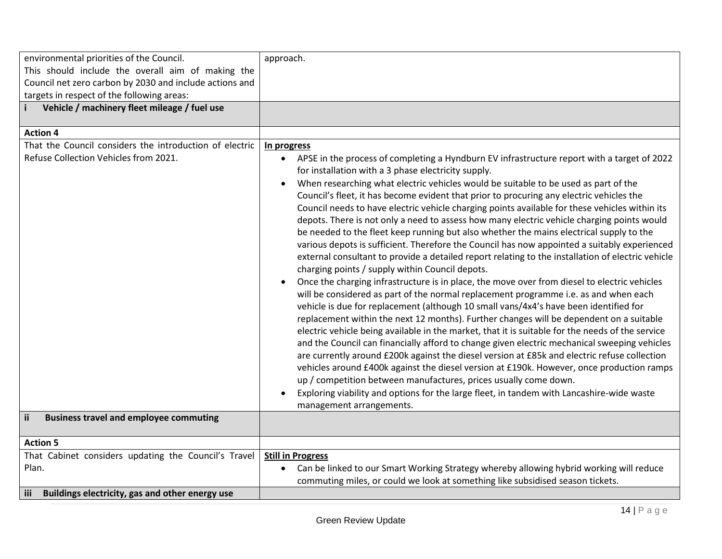| environmental priorities of the Council.                   | approach.                                                                                                |
|------------------------------------------------------------|----------------------------------------------------------------------------------------------------------|
|                                                            |                                                                                                          |
| This should include the overall aim of making the          |                                                                                                          |
| Council net zero carbon by 2030 and include actions and    |                                                                                                          |
| targets in respect of the following areas:                 |                                                                                                          |
| Vehicle / machinery fleet mileage / fuel use               |                                                                                                          |
|                                                            |                                                                                                          |
| <b>Action 4</b>                                            |                                                                                                          |
| That the Council considers the introduction of electric    | In progress                                                                                              |
| Refuse Collection Vehicles from 2021.                      | APSE in the process of completing a Hyndburn EV infrastructure report with a target of 2022<br>$\bullet$ |
|                                                            | for installation with a 3 phase electricity supply.                                                      |
|                                                            | When researching what electric vehicles would be suitable to be used as part of the                      |
|                                                            | Council's fleet, it has become evident that prior to procuring any electric vehicles the                 |
|                                                            |                                                                                                          |
|                                                            | Council needs to have electric vehicle charging points available for these vehicles within its           |
|                                                            | depots. There is not only a need to assess how many electric vehicle charging points would               |
|                                                            | be needed to the fleet keep running but also whether the mains electrical supply to the                  |
|                                                            | various depots is sufficient. Therefore the Council has now appointed a suitably experienced             |
|                                                            | external consultant to provide a detailed report relating to the installation of electric vehicle        |
|                                                            | charging points / supply within Council depots.                                                          |
|                                                            | Once the charging infrastructure is in place, the move over from diesel to electric vehicles             |
|                                                            | will be considered as part of the normal replacement programme i.e. as and when each                     |
|                                                            | vehicle is due for replacement (although 10 small vans/4x4's have been identified for                    |
|                                                            | replacement within the next 12 months). Further changes will be dependent on a suitable                  |
|                                                            |                                                                                                          |
|                                                            | electric vehicle being available in the market, that it is suitable for the needs of the service         |
|                                                            | and the Council can financially afford to change given electric mechanical sweeping vehicles             |
|                                                            | are currently around £200k against the diesel version at £85k and electric refuse collection             |
|                                                            | vehicles around £400k against the diesel version at £190k. However, once production ramps                |
|                                                            | up / competition between manufactures, prices usually come down.                                         |
|                                                            | Exploring viability and options for the large fleet, in tandem with Lancashire-wide waste                |
|                                                            | management arrangements.                                                                                 |
| <b>ii</b><br><b>Business travel and employee commuting</b> |                                                                                                          |
|                                                            |                                                                                                          |
| <b>Action 5</b>                                            |                                                                                                          |
| That Cabinet considers updating the Council's Travel       | <b>Still in Progress</b>                                                                                 |
| Plan.                                                      | Can be linked to our Smart Working Strategy whereby allowing hybrid working will reduce                  |
|                                                            | commuting miles, or could we look at something like subsidised season tickets.                           |
| iii<br>Buildings electricity, gas and other energy use     |                                                                                                          |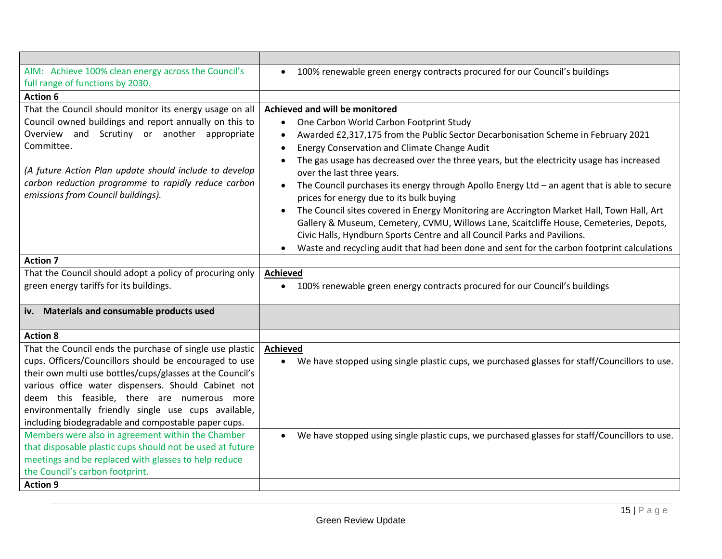| AIM: Achieve 100% clean energy across the Council's<br>full range of functions by 2030.                                                                                                                                                                                                                                                                                                             | 100% renewable green energy contracts procured for our Council's buildings                                                                                                                                                                                                                                                                                                                                                                                                                                                                                                                                                                                                                               |
|-----------------------------------------------------------------------------------------------------------------------------------------------------------------------------------------------------------------------------------------------------------------------------------------------------------------------------------------------------------------------------------------------------|----------------------------------------------------------------------------------------------------------------------------------------------------------------------------------------------------------------------------------------------------------------------------------------------------------------------------------------------------------------------------------------------------------------------------------------------------------------------------------------------------------------------------------------------------------------------------------------------------------------------------------------------------------------------------------------------------------|
| <b>Action 6</b>                                                                                                                                                                                                                                                                                                                                                                                     |                                                                                                                                                                                                                                                                                                                                                                                                                                                                                                                                                                                                                                                                                                          |
| That the Council should monitor its energy usage on all<br>Council owned buildings and report annually on this to<br>Overview and Scrutiny or another appropriate<br>Committee.<br>(A future Action Plan update should include to develop<br>carbon reduction programme to rapidly reduce carbon<br>emissions from Council buildings).                                                              | Achieved and will be monitored<br>One Carbon World Carbon Footprint Study<br>$\bullet$<br>Awarded £2,317,175 from the Public Sector Decarbonisation Scheme in February 2021<br>Energy Conservation and Climate Change Audit<br>$\bullet$<br>The gas usage has decreased over the three years, but the electricity usage has increased<br>over the last three years.<br>The Council purchases its energy through Apollo Energy Ltd $-$ an agent that is able to secure<br>prices for energy due to its bulk buying<br>The Council sites covered in Energy Monitoring are Accrington Market Hall, Town Hall, Art<br>Gallery & Museum, Cemetery, CVMU, Willows Lane, Scaitcliffe House, Cemeteries, Depots, |
| <b>Action 7</b>                                                                                                                                                                                                                                                                                                                                                                                     | Civic Halls, Hyndburn Sports Centre and all Council Parks and Pavilions.<br>Waste and recycling audit that had been done and sent for the carbon footprint calculations                                                                                                                                                                                                                                                                                                                                                                                                                                                                                                                                  |
| That the Council should adopt a policy of procuring only                                                                                                                                                                                                                                                                                                                                            | <b>Achieved</b>                                                                                                                                                                                                                                                                                                                                                                                                                                                                                                                                                                                                                                                                                          |
| green energy tariffs for its buildings.                                                                                                                                                                                                                                                                                                                                                             | 100% renewable green energy contracts procured for our Council's buildings<br>٠                                                                                                                                                                                                                                                                                                                                                                                                                                                                                                                                                                                                                          |
| Materials and consumable products used<br>iv.                                                                                                                                                                                                                                                                                                                                                       |                                                                                                                                                                                                                                                                                                                                                                                                                                                                                                                                                                                                                                                                                                          |
| <b>Action 8</b>                                                                                                                                                                                                                                                                                                                                                                                     |                                                                                                                                                                                                                                                                                                                                                                                                                                                                                                                                                                                                                                                                                                          |
| That the Council ends the purchase of single use plastic<br>cups. Officers/Councillors should be encouraged to use<br>their own multi use bottles/cups/glasses at the Council's<br>various office water dispensers. Should Cabinet not<br>deem this feasible, there are numerous more<br>environmentally friendly single use cups available,<br>including biodegradable and compostable paper cups. | <b>Achieved</b><br>We have stopped using single plastic cups, we purchased glasses for staff/Councillors to use.                                                                                                                                                                                                                                                                                                                                                                                                                                                                                                                                                                                         |
| Members were also in agreement within the Chamber<br>that disposable plastic cups should not be used at future<br>meetings and be replaced with glasses to help reduce<br>the Council's carbon footprint.<br><b>Action 9</b>                                                                                                                                                                        | We have stopped using single plastic cups, we purchased glasses for staff/Councillors to use.                                                                                                                                                                                                                                                                                                                                                                                                                                                                                                                                                                                                            |
|                                                                                                                                                                                                                                                                                                                                                                                                     |                                                                                                                                                                                                                                                                                                                                                                                                                                                                                                                                                                                                                                                                                                          |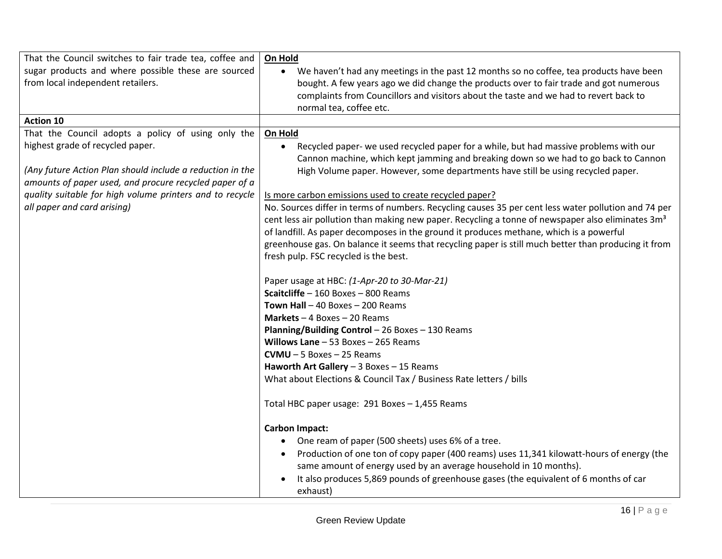| That the Council switches to fair trade tea, coffee and   | On Hold                                                                                                       |
|-----------------------------------------------------------|---------------------------------------------------------------------------------------------------------------|
| sugar products and where possible these are sourced       | We haven't had any meetings in the past 12 months so no coffee, tea products have been<br>$\bullet$           |
| from local independent retailers.                         | bought. A few years ago we did change the products over to fair trade and got numerous                        |
|                                                           | complaints from Councillors and visitors about the taste and we had to revert back to                         |
|                                                           | normal tea, coffee etc.                                                                                       |
| <b>Action 10</b>                                          |                                                                                                               |
| That the Council adopts a policy of using only the        | On Hold                                                                                                       |
| highest grade of recycled paper.                          | Recycled paper- we used recycled paper for a while, but had massive problems with our<br>$\bullet$            |
|                                                           | Cannon machine, which kept jamming and breaking down so we had to go back to Cannon                           |
| (Any future Action Plan should include a reduction in the | High Volume paper. However, some departments have still be using recycled paper.                              |
| amounts of paper used, and procure recycled paper of a    |                                                                                                               |
| quality suitable for high volume printers and to recycle  | Is more carbon emissions used to create recycled paper?                                                       |
| all paper and card arising)                               | No. Sources differ in terms of numbers. Recycling causes 35 per cent less water pollution and 74 per          |
|                                                           | cent less air pollution than making new paper. Recycling a tonne of newspaper also eliminates 3m <sup>3</sup> |
|                                                           | of landfill. As paper decomposes in the ground it produces methane, which is a powerful                       |
|                                                           | greenhouse gas. On balance it seems that recycling paper is still much better than producing it from          |
|                                                           | fresh pulp. FSC recycled is the best.                                                                         |
|                                                           |                                                                                                               |
|                                                           | Paper usage at HBC: (1-Apr-20 to 30-Mar-21)                                                                   |
|                                                           | Scaitcliffe - 160 Boxes - 800 Reams                                                                           |
|                                                           | Town Hall $-$ 40 Boxes $-$ 200 Reams                                                                          |
|                                                           | Markets $-4$ Boxes $-20$ Reams                                                                                |
|                                                           | <b>Planning/Building Control - 26 Boxes - 130 Reams</b>                                                       |
|                                                           | Willows Lane $-53$ Boxes $-265$ Reams                                                                         |
|                                                           | $CVMU - 5$ Boxes - 25 Reams                                                                                   |
|                                                           | Haworth Art Gallery $-3$ Boxes $-15$ Reams                                                                    |
|                                                           | What about Elections & Council Tax / Business Rate letters / bills                                            |
|                                                           |                                                                                                               |
|                                                           | Total HBC paper usage: 291 Boxes - 1,455 Reams                                                                |
|                                                           | <b>Carbon Impact:</b>                                                                                         |
|                                                           | One ream of paper (500 sheets) uses 6% of a tree.                                                             |
|                                                           | Production of one ton of copy paper (400 reams) uses 11,341 kilowatt-hours of energy (the<br>$\bullet$        |
|                                                           | same amount of energy used by an average household in 10 months).                                             |
|                                                           | It also produces 5,869 pounds of greenhouse gases (the equivalent of 6 months of car                          |
|                                                           | exhaust)                                                                                                      |
|                                                           |                                                                                                               |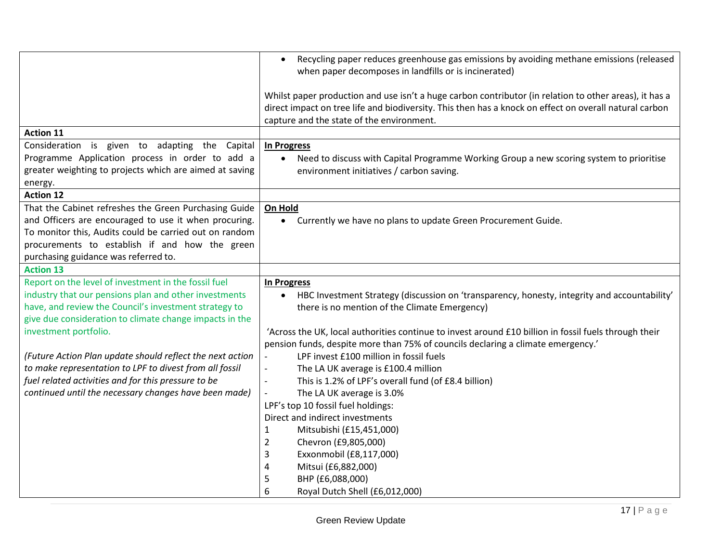|                                                           | Recycling paper reduces greenhouse gas emissions by avoiding methane emissions (released<br>$\bullet$<br>when paper decomposes in landfills or is incinerated)                                                                                                |
|-----------------------------------------------------------|---------------------------------------------------------------------------------------------------------------------------------------------------------------------------------------------------------------------------------------------------------------|
|                                                           | Whilst paper production and use isn't a huge carbon contributor (in relation to other areas), it has a<br>direct impact on tree life and biodiversity. This then has a knock on effect on overall natural carbon<br>capture and the state of the environment. |
| <b>Action 11</b>                                          |                                                                                                                                                                                                                                                               |
| Consideration is given to adapting the Capital            | In Progress                                                                                                                                                                                                                                                   |
| Programme Application process in order to add a           | Need to discuss with Capital Programme Working Group a new scoring system to prioritise                                                                                                                                                                       |
| greater weighting to projects which are aimed at saving   | environment initiatives / carbon saving.                                                                                                                                                                                                                      |
| energy.                                                   |                                                                                                                                                                                                                                                               |
| <b>Action 12</b>                                          |                                                                                                                                                                                                                                                               |
| That the Cabinet refreshes the Green Purchasing Guide     | On Hold                                                                                                                                                                                                                                                       |
| and Officers are encouraged to use it when procuring.     | Currently we have no plans to update Green Procurement Guide.                                                                                                                                                                                                 |
| To monitor this, Audits could be carried out on random    |                                                                                                                                                                                                                                                               |
| procurements to establish if and how the green            |                                                                                                                                                                                                                                                               |
| purchasing guidance was referred to.                      |                                                                                                                                                                                                                                                               |
| <b>Action 13</b>                                          |                                                                                                                                                                                                                                                               |
| Report on the level of investment in the fossil fuel      | <b>In Progress</b>                                                                                                                                                                                                                                            |
|                                                           |                                                                                                                                                                                                                                                               |
| industry that our pensions plan and other investments     | HBC Investment Strategy (discussion on 'transparency, honesty, integrity and accountability'                                                                                                                                                                  |
| have, and review the Council's investment strategy to     | there is no mention of the Climate Emergency)                                                                                                                                                                                                                 |
| give due consideration to climate change impacts in the   |                                                                                                                                                                                                                                                               |
| investment portfolio.                                     | 'Across the UK, local authorities continue to invest around £10 billion in fossil fuels through their                                                                                                                                                         |
|                                                           | pension funds, despite more than 75% of councils declaring a climate emergency.'                                                                                                                                                                              |
| (Future Action Plan update should reflect the next action | LPF invest £100 million in fossil fuels                                                                                                                                                                                                                       |
| to make representation to LPF to divest from all fossil   | The LA UK average is £100.4 million<br>$\blacksquare$                                                                                                                                                                                                         |
| fuel related activities and for this pressure to be       | This is 1.2% of LPF's overall fund (of £8.4 billion)<br>$\overline{\phantom{a}}$                                                                                                                                                                              |
| continued until the necessary changes have been made)     | The LA UK average is 3.0%                                                                                                                                                                                                                                     |
|                                                           | LPF's top 10 fossil fuel holdings:                                                                                                                                                                                                                            |
|                                                           | Direct and indirect investments                                                                                                                                                                                                                               |
|                                                           | Mitsubishi (£15,451,000)<br>$\mathbf{1}$                                                                                                                                                                                                                      |
|                                                           | $\overline{2}$<br>Chevron (£9,805,000)                                                                                                                                                                                                                        |
|                                                           | 3<br>Exxonmobil (£8,117,000)                                                                                                                                                                                                                                  |
|                                                           | Mitsui (£6,882,000)<br>4                                                                                                                                                                                                                                      |
|                                                           | 5<br>BHP (£6,088,000)<br>6<br>Royal Dutch Shell (£6,012,000)                                                                                                                                                                                                  |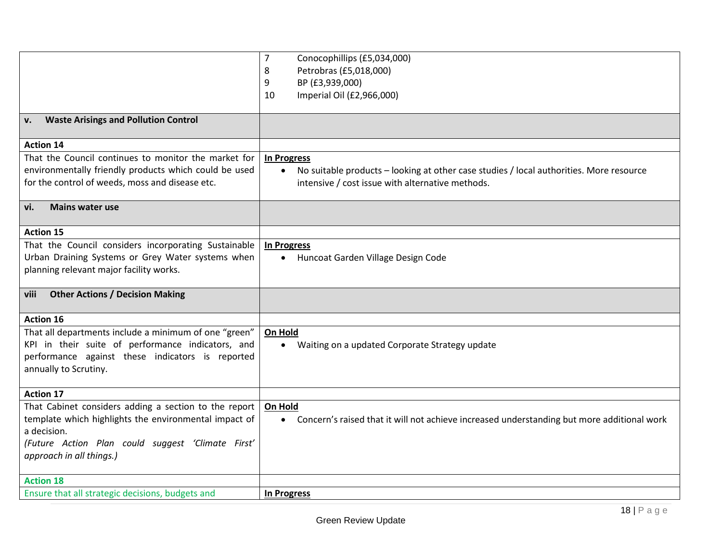|                                                       | 7<br>Conocophillips (£5,034,000)                                                             |
|-------------------------------------------------------|----------------------------------------------------------------------------------------------|
|                                                       | Petrobras (£5,018,000)<br>8                                                                  |
|                                                       | BP (£3,939,000)<br>9                                                                         |
|                                                       | Imperial Oil (£2,966,000)<br>10                                                              |
|                                                       |                                                                                              |
| <b>Waste Arisings and Pollution Control</b><br>v.     |                                                                                              |
| <b>Action 14</b>                                      |                                                                                              |
| That the Council continues to monitor the market for  | In Progress                                                                                  |
| environmentally friendly products which could be used | No suitable products - looking at other case studies / local authorities. More resource      |
| for the control of weeds, moss and disease etc.       | intensive / cost issue with alternative methods.                                             |
|                                                       |                                                                                              |
| <b>Mains water use</b><br>vi.                         |                                                                                              |
| <b>Action 15</b>                                      |                                                                                              |
| That the Council considers incorporating Sustainable  |                                                                                              |
| Urban Draining Systems or Grey Water systems when     | In Progress                                                                                  |
| planning relevant major facility works.               | Huncoat Garden Village Design Code                                                           |
|                                                       |                                                                                              |
| <b>Other Actions / Decision Making</b><br>viii        |                                                                                              |
|                                                       |                                                                                              |
| <b>Action 16</b>                                      |                                                                                              |
| That all departments include a minimum of one "green" | On Hold                                                                                      |
| KPI in their suite of performance indicators, and     | • Waiting on a updated Corporate Strategy update                                             |
| performance against these indicators is reported      |                                                                                              |
| annually to Scrutiny.                                 |                                                                                              |
| <b>Action 17</b>                                      |                                                                                              |
| That Cabinet considers adding a section to the report | On Hold                                                                                      |
| template which highlights the environmental impact of | • Concern's raised that it will not achieve increased understanding but more additional work |
| a decision.                                           |                                                                                              |
| (Future Action Plan could suggest 'Climate First'     |                                                                                              |
| approach in all things.)                              |                                                                                              |
|                                                       |                                                                                              |
| <b>Action 18</b>                                      |                                                                                              |
| Ensure that all strategic decisions, budgets and      | In Progress                                                                                  |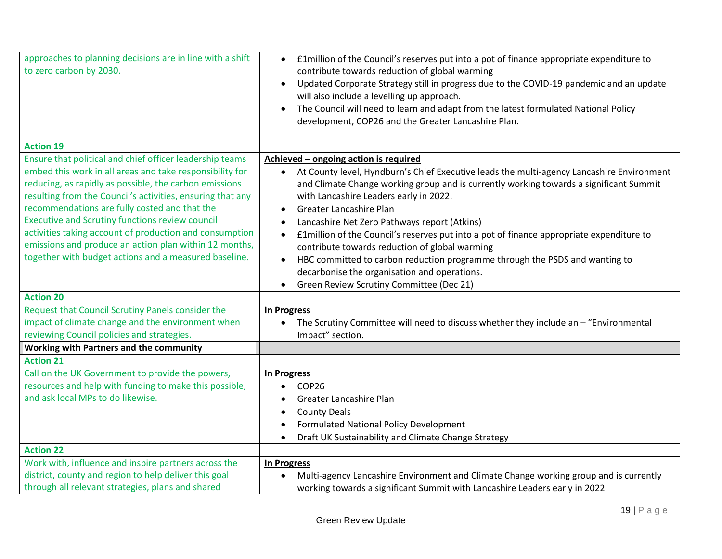| approaches to planning decisions are in line with a shift  | £1 million of the Council's reserves put into a pot of finance appropriate expenditure to            |
|------------------------------------------------------------|------------------------------------------------------------------------------------------------------|
| to zero carbon by 2030.                                    | contribute towards reduction of global warming                                                       |
|                                                            | Updated Corporate Strategy still in progress due to the COVID-19 pandemic and an update<br>$\bullet$ |
|                                                            | will also include a levelling up approach.                                                           |
|                                                            | The Council will need to learn and adapt from the latest formulated National Policy<br>$\bullet$     |
|                                                            | development, COP26 and the Greater Lancashire Plan.                                                  |
|                                                            |                                                                                                      |
| <b>Action 19</b>                                           |                                                                                                      |
| Ensure that political and chief officer leadership teams   | Achieved - ongoing action is required                                                                |
| embed this work in all areas and take responsibility for   | At County level, Hyndburn's Chief Executive leads the multi-agency Lancashire Environment            |
| reducing, as rapidly as possible, the carbon emissions     | and Climate Change working group and is currently working towards a significant Summit               |
| resulting from the Council's activities, ensuring that any | with Lancashire Leaders early in 2022.                                                               |
| recommendations are fully costed and that the              | <b>Greater Lancashire Plan</b>                                                                       |
| <b>Executive and Scrutiny functions review council</b>     | Lancashire Net Zero Pathways report (Atkins)                                                         |
| activities taking account of production and consumption    | £1 million of the Council's reserves put into a pot of finance appropriate expenditure to            |
| emissions and produce an action plan within 12 months,     | contribute towards reduction of global warming                                                       |
| together with budget actions and a measured baseline.      | HBC committed to carbon reduction programme through the PSDS and wanting to                          |
|                                                            | decarbonise the organisation and operations.                                                         |
|                                                            | Green Review Scrutiny Committee (Dec 21)                                                             |
| <b>Action 20</b>                                           |                                                                                                      |
| Request that Council Scrutiny Panels consider the          | In Progress                                                                                          |
| impact of climate change and the environment when          | The Scrutiny Committee will need to discuss whether they include an - "Environmental"                |
| reviewing Council policies and strategies.                 | Impact" section.                                                                                     |
| Working with Partners and the community                    |                                                                                                      |
| <b>Action 21</b>                                           |                                                                                                      |
| Call on the UK Government to provide the powers,           | <b>In Progress</b>                                                                                   |
| resources and help with funding to make this possible,     | COP <sub>26</sub>                                                                                    |
| and ask local MPs to do likewise.                          | Greater Lancashire Plan                                                                              |
|                                                            | <b>County Deals</b>                                                                                  |
|                                                            | Formulated National Policy Development                                                               |
|                                                            | Draft UK Sustainability and Climate Change Strategy                                                  |
| <b>Action 22</b>                                           |                                                                                                      |
| Work with, influence and inspire partners across the       | <b>In Progress</b>                                                                                   |
| district, county and region to help deliver this goal      | Multi-agency Lancashire Environment and Climate Change working group and is currently                |
|                                                            |                                                                                                      |
| through all relevant strategies, plans and shared          | working towards a significant Summit with Lancashire Leaders early in 2022                           |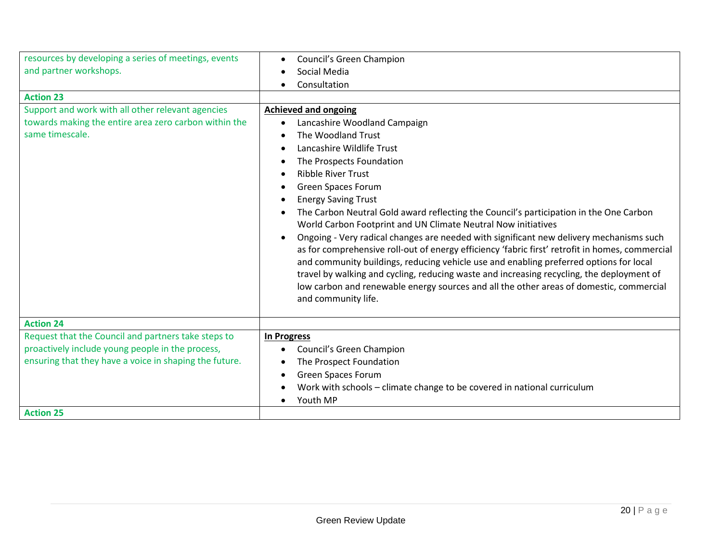| resources by developing a series of meetings, events                                                                                                              | Council's Green Champion                                                                                                                                                                                                                                                                                                                                                                                                                                                                                                                                                                                                                                                              |
|-------------------------------------------------------------------------------------------------------------------------------------------------------------------|---------------------------------------------------------------------------------------------------------------------------------------------------------------------------------------------------------------------------------------------------------------------------------------------------------------------------------------------------------------------------------------------------------------------------------------------------------------------------------------------------------------------------------------------------------------------------------------------------------------------------------------------------------------------------------------|
| and partner workshops.                                                                                                                                            | Social Media                                                                                                                                                                                                                                                                                                                                                                                                                                                                                                                                                                                                                                                                          |
|                                                                                                                                                                   | Consultation                                                                                                                                                                                                                                                                                                                                                                                                                                                                                                                                                                                                                                                                          |
| <b>Action 23</b>                                                                                                                                                  |                                                                                                                                                                                                                                                                                                                                                                                                                                                                                                                                                                                                                                                                                       |
| Support and work with all other relevant agencies<br>towards making the entire area zero carbon within the<br>same timescale.                                     | <b>Achieved and ongoing</b><br>Lancashire Woodland Campaign<br>The Woodland Trust<br>Lancashire Wildlife Trust<br>The Prospects Foundation<br><b>Ribble River Trust</b><br><b>Green Spaces Forum</b><br><b>Energy Saving Trust</b><br>The Carbon Neutral Gold award reflecting the Council's participation in the One Carbon<br>World Carbon Footprint and UN Climate Neutral Now initiatives<br>Ongoing - Very radical changes are needed with significant new delivery mechanisms such<br>as for comprehensive roll-out of energy efficiency 'fabric first' retrofit in homes, commercial<br>and community buildings, reducing vehicle use and enabling preferred options for local |
|                                                                                                                                                                   | travel by walking and cycling, reducing waste and increasing recycling, the deployment of<br>low carbon and renewable energy sources and all the other areas of domestic, commercial<br>and community life.                                                                                                                                                                                                                                                                                                                                                                                                                                                                           |
| <b>Action 24</b>                                                                                                                                                  |                                                                                                                                                                                                                                                                                                                                                                                                                                                                                                                                                                                                                                                                                       |
| Request that the Council and partners take steps to<br>proactively include young people in the process,<br>ensuring that they have a voice in shaping the future. | <b>In Progress</b><br>Council's Green Champion<br>The Prospect Foundation<br><b>Green Spaces Forum</b><br>Work with schools – climate change to be covered in national curriculum<br>Youth MP                                                                                                                                                                                                                                                                                                                                                                                                                                                                                         |
| <b>Action 25</b>                                                                                                                                                  |                                                                                                                                                                                                                                                                                                                                                                                                                                                                                                                                                                                                                                                                                       |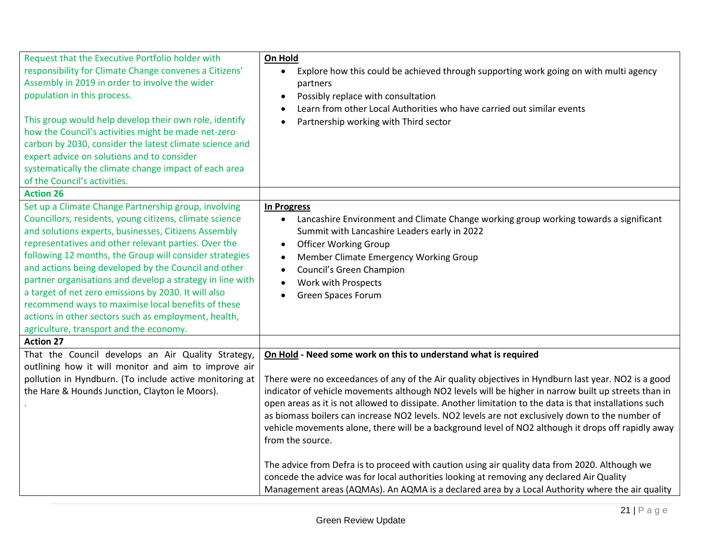| Request that the Executive Portfolio holder with          | On Hold                                                                                                 |
|-----------------------------------------------------------|---------------------------------------------------------------------------------------------------------|
| responsibility for Climate Change convenes a Citizens'    | Explore how this could be achieved through supporting work going on with multi agency<br>$\bullet$      |
| Assembly in 2019 in order to involve the wider            | partners                                                                                                |
| population in this process.                               | Possibly replace with consultation<br>$\bullet$                                                         |
|                                                           | Learn from other Local Authorities who have carried out similar events                                  |
| This group would help develop their own role, identify    | Partnership working with Third sector                                                                   |
| how the Council's activities might be made net-zero       |                                                                                                         |
| carbon by 2030, consider the latest climate science and   |                                                                                                         |
| expert advice on solutions and to consider                |                                                                                                         |
| systematically the climate change impact of each area     |                                                                                                         |
| of the Council's activities.                              |                                                                                                         |
| <b>Action 26</b>                                          |                                                                                                         |
| Set up a Climate Change Partnership group, involving      | <b>In Progress</b>                                                                                      |
| Councillors, residents, young citizens, climate science   | Lancashire Environment and Climate Change working group working towards a significant                   |
| and solutions experts, businesses, Citizens Assembly      | Summit with Lancashire Leaders early in 2022                                                            |
| representatives and other relevant parties. Over the      | <b>Officer Working Group</b>                                                                            |
| following 12 months, the Group will consider strategies   | Member Climate Emergency Working Group<br>$\bullet$                                                     |
| and actions being developed by the Council and other      | Council's Green Champion                                                                                |
| partner organisations and develop a strategy in line with | Work with Prospects                                                                                     |
| a target of net zero emissions by 2030. It will also      | <b>Green Spaces Forum</b>                                                                               |
| recommend ways to maximise local benefits of these        |                                                                                                         |
| actions in other sectors such as employment, health,      |                                                                                                         |
| agriculture, transport and the economy.                   |                                                                                                         |
| <b>Action 27</b>                                          |                                                                                                         |
| That the Council develops an Air Quality Strategy,        | On Hold - Need some work on this to understand what is required                                         |
| outlining how it will monitor and aim to improve air      |                                                                                                         |
| pollution in Hyndburn. (To include active monitoring at   | There were no exceedances of any of the Air quality objectives in Hyndburn last year. NO2 is a good     |
| the Hare & Hounds Junction, Clayton le Moors).            | indicator of vehicle movements although NO2 levels will be higher in narrow built up streets than in    |
|                                                           | open areas as it is not allowed to dissipate. Another limitation to the data is that installations such |
|                                                           | as biomass boilers can increase NO2 levels. NO2 levels are not exclusively down to the number of        |
|                                                           | vehicle movements alone, there will be a background level of NO2 although it drops off rapidly away     |
|                                                           | from the source.                                                                                        |
|                                                           |                                                                                                         |
|                                                           | The advice from Defra is to proceed with caution using air quality data from 2020. Although we          |
|                                                           | concede the advice was for local authorities looking at removing any declared Air Quality               |
|                                                           | Management areas (AQMAs). An AQMA is a declared area by a Local Authority where the air quality         |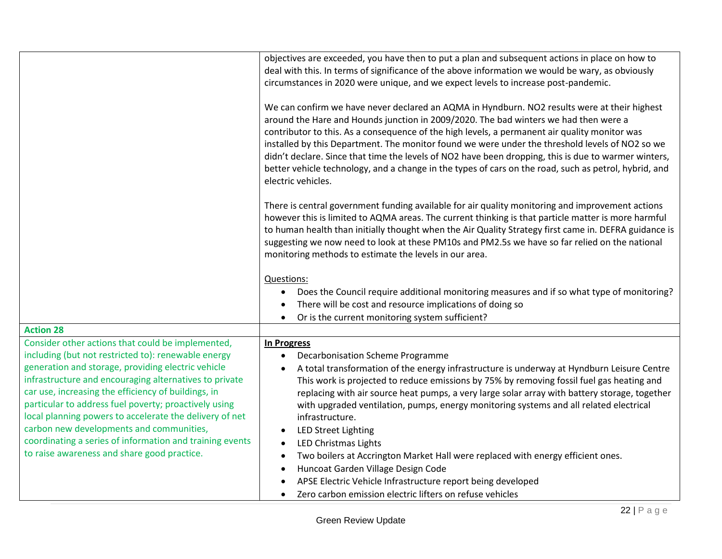| objectives are exceeded, you have then to put a plan and subsequent actions in place on how to<br>deal with this. In terms of significance of the above information we would be wary, as obviously<br>circumstances in 2020 were unique, and we expect levels to increase post-pandemic.                                                                                                                                                                                                                                                                                                                                                                                                                                                                                         |
|----------------------------------------------------------------------------------------------------------------------------------------------------------------------------------------------------------------------------------------------------------------------------------------------------------------------------------------------------------------------------------------------------------------------------------------------------------------------------------------------------------------------------------------------------------------------------------------------------------------------------------------------------------------------------------------------------------------------------------------------------------------------------------|
| We can confirm we have never declared an AQMA in Hyndburn. NO2 results were at their highest<br>around the Hare and Hounds junction in 2009/2020. The bad winters we had then were a<br>contributor to this. As a consequence of the high levels, a permanent air quality monitor was<br>installed by this Department. The monitor found we were under the threshold levels of NO2 so we<br>didn't declare. Since that time the levels of NO2 have been dropping, this is due to warmer winters,<br>better vehicle technology, and a change in the types of cars on the road, such as petrol, hybrid, and<br>electric vehicles.                                                                                                                                                  |
| There is central government funding available for air quality monitoring and improvement actions<br>however this is limited to AQMA areas. The current thinking is that particle matter is more harmful<br>to human health than initially thought when the Air Quality Strategy first came in. DEFRA guidance is<br>suggesting we now need to look at these PM10s and PM2.5s we have so far relied on the national<br>monitoring methods to estimate the levels in our area.                                                                                                                                                                                                                                                                                                     |
| Questions:                                                                                                                                                                                                                                                                                                                                                                                                                                                                                                                                                                                                                                                                                                                                                                       |
| Does the Council require additional monitoring measures and if so what type of monitoring?<br>There will be cost and resource implications of doing so                                                                                                                                                                                                                                                                                                                                                                                                                                                                                                                                                                                                                           |
| Or is the current monitoring system sufficient?                                                                                                                                                                                                                                                                                                                                                                                                                                                                                                                                                                                                                                                                                                                                  |
|                                                                                                                                                                                                                                                                                                                                                                                                                                                                                                                                                                                                                                                                                                                                                                                  |
| <b>In Progress</b><br>Decarbonisation Scheme Programme<br>A total transformation of the energy infrastructure is underway at Hyndburn Leisure Centre<br>This work is projected to reduce emissions by 75% by removing fossil fuel gas heating and<br>replacing with air source heat pumps, a very large solar array with battery storage, together<br>with upgraded ventilation, pumps, energy monitoring systems and all related electrical<br>infrastructure.<br><b>LED Street Lighting</b><br><b>LED Christmas Lights</b><br>Two boilers at Accrington Market Hall were replaced with energy efficient ones.<br>Huncoat Garden Village Design Code<br>APSE Electric Vehicle Infrastructure report being developed<br>Zero carbon emission electric lifters on refuse vehicles |
|                                                                                                                                                                                                                                                                                                                                                                                                                                                                                                                                                                                                                                                                                                                                                                                  |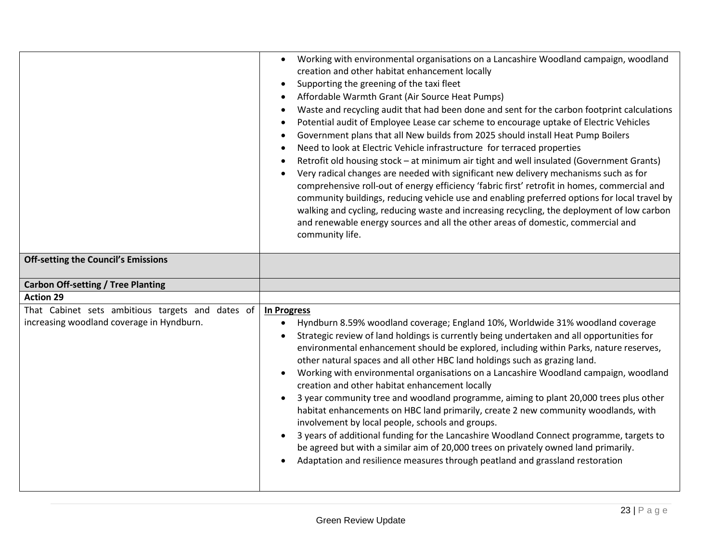| <b>Off-setting the Council's Emissions</b>       | Working with environmental organisations on a Lancashire Woodland campaign, woodland<br>$\bullet$<br>creation and other habitat enhancement locally<br>Supporting the greening of the taxi fleet<br>$\bullet$<br>Affordable Warmth Grant (Air Source Heat Pumps)<br>Waste and recycling audit that had been done and sent for the carbon footprint calculations<br>Potential audit of Employee Lease car scheme to encourage uptake of Electric Vehicles<br>$\bullet$<br>Government plans that all New builds from 2025 should install Heat Pump Boilers<br>$\bullet$<br>Need to look at Electric Vehicle infrastructure for terraced properties<br>$\bullet$<br>Retrofit old housing stock - at minimum air tight and well insulated (Government Grants)<br>Very radical changes are needed with significant new delivery mechanisms such as for<br>comprehensive roll-out of energy efficiency 'fabric first' retrofit in homes, commercial and<br>community buildings, reducing vehicle use and enabling preferred options for local travel by<br>walking and cycling, reducing waste and increasing recycling, the deployment of low carbon<br>and renewable energy sources and all the other areas of domestic, commercial and<br>community life. |
|--------------------------------------------------|--------------------------------------------------------------------------------------------------------------------------------------------------------------------------------------------------------------------------------------------------------------------------------------------------------------------------------------------------------------------------------------------------------------------------------------------------------------------------------------------------------------------------------------------------------------------------------------------------------------------------------------------------------------------------------------------------------------------------------------------------------------------------------------------------------------------------------------------------------------------------------------------------------------------------------------------------------------------------------------------------------------------------------------------------------------------------------------------------------------------------------------------------------------------------------------------------------------------------------------------------------|
|                                                  |                                                                                                                                                                                                                                                                                                                                                                                                                                                                                                                                                                                                                                                                                                                                                                                                                                                                                                                                                                                                                                                                                                                                                                                                                                                        |
| <b>Carbon Off-setting / Tree Planting</b>        |                                                                                                                                                                                                                                                                                                                                                                                                                                                                                                                                                                                                                                                                                                                                                                                                                                                                                                                                                                                                                                                                                                                                                                                                                                                        |
| <b>Action 29</b>                                 |                                                                                                                                                                                                                                                                                                                                                                                                                                                                                                                                                                                                                                                                                                                                                                                                                                                                                                                                                                                                                                                                                                                                                                                                                                                        |
| That Cabinet sets ambitious targets and dates of | <b>In Progress</b>                                                                                                                                                                                                                                                                                                                                                                                                                                                                                                                                                                                                                                                                                                                                                                                                                                                                                                                                                                                                                                                                                                                                                                                                                                     |
| increasing woodland coverage in Hyndburn.        | Hyndburn 8.59% woodland coverage; England 10%, Worldwide 31% woodland coverage<br>Strategic review of land holdings is currently being undertaken and all opportunities for<br>environmental enhancement should be explored, including within Parks, nature reserves,<br>other natural spaces and all other HBC land holdings such as grazing land.<br>Working with environmental organisations on a Lancashire Woodland campaign, woodland<br>creation and other habitat enhancement locally<br>3 year community tree and woodland programme, aiming to plant 20,000 trees plus other<br>habitat enhancements on HBC land primarily, create 2 new community woodlands, with<br>involvement by local people, schools and groups.<br>3 years of additional funding for the Lancashire Woodland Connect programme, targets to<br>be agreed but with a similar aim of 20,000 trees on privately owned land primarily.<br>Adaptation and resilience measures through peatland and grassland restoration                                                                                                                                                                                                                                                    |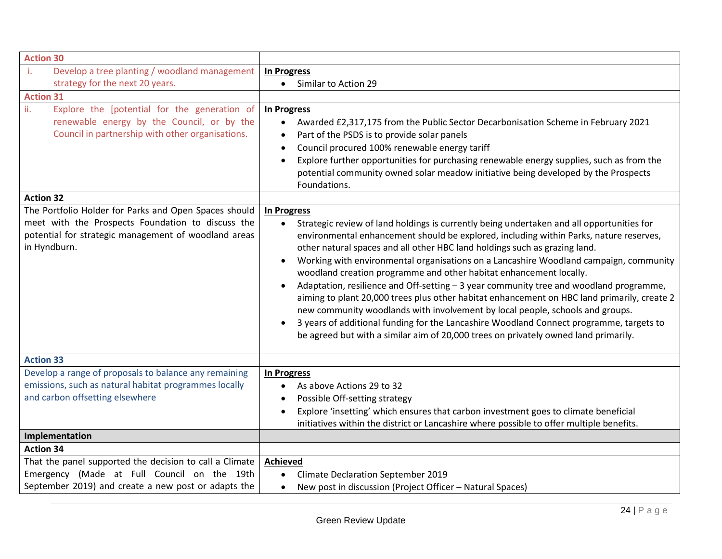| <b>Action 30</b>                                                                                                                                                                   |                                                                                                                                                                                                                                                                                                                                                                                                                                                                                                                                                                                                                                                                                                                                                                                                                                                                                                                                 |
|------------------------------------------------------------------------------------------------------------------------------------------------------------------------------------|---------------------------------------------------------------------------------------------------------------------------------------------------------------------------------------------------------------------------------------------------------------------------------------------------------------------------------------------------------------------------------------------------------------------------------------------------------------------------------------------------------------------------------------------------------------------------------------------------------------------------------------------------------------------------------------------------------------------------------------------------------------------------------------------------------------------------------------------------------------------------------------------------------------------------------|
| î.<br>Develop a tree planting / woodland management                                                                                                                                | <b>In Progress</b>                                                                                                                                                                                                                                                                                                                                                                                                                                                                                                                                                                                                                                                                                                                                                                                                                                                                                                              |
| strategy for the next 20 years.                                                                                                                                                    | Similar to Action 29<br>$\bullet$                                                                                                                                                                                                                                                                                                                                                                                                                                                                                                                                                                                                                                                                                                                                                                                                                                                                                               |
| <b>Action 31</b>                                                                                                                                                                   |                                                                                                                                                                                                                                                                                                                                                                                                                                                                                                                                                                                                                                                                                                                                                                                                                                                                                                                                 |
| ii.<br>Explore the [potential for the generation of<br>renewable energy by the Council, or by the<br>Council in partnership with other organisations.                              | <b>In Progress</b><br>Awarded £2,317,175 from the Public Sector Decarbonisation Scheme in February 2021<br>$\bullet$<br>Part of the PSDS is to provide solar panels<br>Council procured 100% renewable energy tariff<br>Explore further opportunities for purchasing renewable energy supplies, such as from the<br>potential community owned solar meadow initiative being developed by the Prospects<br>Foundations.                                                                                                                                                                                                                                                                                                                                                                                                                                                                                                          |
| <b>Action 32</b>                                                                                                                                                                   |                                                                                                                                                                                                                                                                                                                                                                                                                                                                                                                                                                                                                                                                                                                                                                                                                                                                                                                                 |
| The Portfolio Holder for Parks and Open Spaces should<br>meet with the Prospects Foundation to discuss the<br>potential for strategic management of woodland areas<br>in Hyndburn. | <b>In Progress</b><br>Strategic review of land holdings is currently being undertaken and all opportunities for<br>environmental enhancement should be explored, including within Parks, nature reserves,<br>other natural spaces and all other HBC land holdings such as grazing land.<br>Working with environmental organisations on a Lancashire Woodland campaign, community<br>woodland creation programme and other habitat enhancement locally.<br>Adaptation, resilience and Off-setting - 3 year community tree and woodland programme,<br>aiming to plant 20,000 trees plus other habitat enhancement on HBC land primarily, create 2<br>new community woodlands with involvement by local people, schools and groups.<br>3 years of additional funding for the Lancashire Woodland Connect programme, targets to<br>$\bullet$<br>be agreed but with a similar aim of 20,000 trees on privately owned land primarily. |
| <b>Action 33</b>                                                                                                                                                                   |                                                                                                                                                                                                                                                                                                                                                                                                                                                                                                                                                                                                                                                                                                                                                                                                                                                                                                                                 |
| Develop a range of proposals to balance any remaining<br>emissions, such as natural habitat programmes locally<br>and carbon offsetting elsewhere                                  | <b>In Progress</b><br>As above Actions 29 to 32<br>Possible Off-setting strategy<br>Explore 'insetting' which ensures that carbon investment goes to climate beneficial<br>initiatives within the district or Lancashire where possible to offer multiple benefits.                                                                                                                                                                                                                                                                                                                                                                                                                                                                                                                                                                                                                                                             |
| Implementation                                                                                                                                                                     |                                                                                                                                                                                                                                                                                                                                                                                                                                                                                                                                                                                                                                                                                                                                                                                                                                                                                                                                 |
| <b>Action 34</b>                                                                                                                                                                   |                                                                                                                                                                                                                                                                                                                                                                                                                                                                                                                                                                                                                                                                                                                                                                                                                                                                                                                                 |
| That the panel supported the decision to call a Climate<br>Emergency (Made at Full Council on the 19th<br>September 2019) and create a new post or adapts the                      | <b>Achieved</b><br><b>Climate Declaration September 2019</b><br>New post in discussion (Project Officer - Natural Spaces)                                                                                                                                                                                                                                                                                                                                                                                                                                                                                                                                                                                                                                                                                                                                                                                                       |
|                                                                                                                                                                                    |                                                                                                                                                                                                                                                                                                                                                                                                                                                                                                                                                                                                                                                                                                                                                                                                                                                                                                                                 |